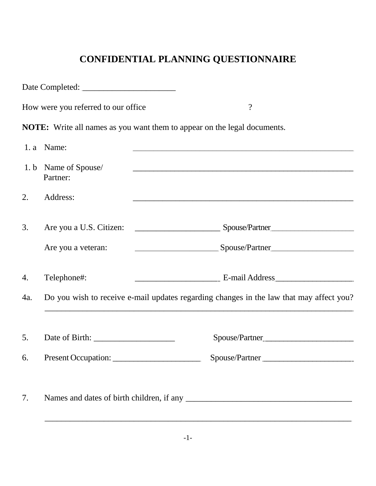# **CONFIDENTIAL PLANNING QUESTIONNAIRE**

|     | How were you referred to our office                                                     | $\overline{?}$<br><u> 1989 - Johann John Stone, mars et al. 1989 - John Stone, mars et al. 1989 - John Stone, mars et al. 1989 - Joh</u>                                                                                             |
|-----|-----------------------------------------------------------------------------------------|--------------------------------------------------------------------------------------------------------------------------------------------------------------------------------------------------------------------------------------|
|     |                                                                                         | <b>NOTE:</b> Write all names as you want them to appear on the legal documents.                                                                                                                                                      |
|     | 1. a Name:                                                                              |                                                                                                                                                                                                                                      |
|     | 1. b Name of Spouse/<br>Partner:                                                        | <u>. An international control of the control of the control of the control of the control of the control of the control of the control of the control of the control of the control of the control of the control of the control</u> |
| 2.  | Address:                                                                                | and the control of the control of the control of the control of the control of the control of the control of the                                                                                                                     |
| 3.  |                                                                                         |                                                                                                                                                                                                                                      |
|     | Are you a veteran:                                                                      | Spouse/Partner                                                                                                                                                                                                                       |
| 4.  | Telephone#:                                                                             |                                                                                                                                                                                                                                      |
| 4a. | Do you wish to receive e-mail updates regarding changes in the law that may affect you? |                                                                                                                                                                                                                                      |
|     |                                                                                         |                                                                                                                                                                                                                                      |
| 5.  |                                                                                         | Spouse/Partner                                                                                                                                                                                                                       |
| 6.  | Present Occupation:                                                                     | Spouse/Partner                                                                                                                                                                                                                       |
| 7.  |                                                                                         |                                                                                                                                                                                                                                      |
|     |                                                                                         |                                                                                                                                                                                                                                      |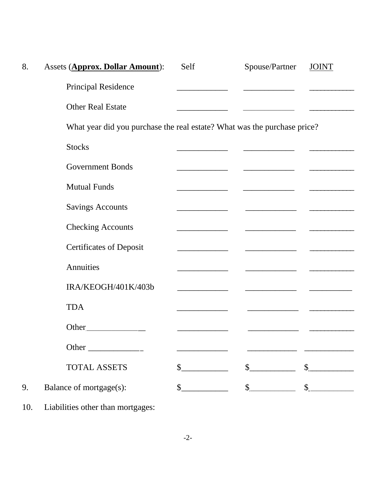| 8. | Assets (Approx. Dollar Amount):                                          | Self                        | Spouse/Partner                                                                                                                                                                                                                                                                                                      | <b>JOINT</b> |
|----|--------------------------------------------------------------------------|-----------------------------|---------------------------------------------------------------------------------------------------------------------------------------------------------------------------------------------------------------------------------------------------------------------------------------------------------------------|--------------|
|    | <b>Principal Residence</b>                                               |                             |                                                                                                                                                                                                                                                                                                                     |              |
|    | <b>Other Real Estate</b>                                                 |                             |                                                                                                                                                                                                                                                                                                                     |              |
|    | What year did you purchase the real estate? What was the purchase price? |                             |                                                                                                                                                                                                                                                                                                                     |              |
|    | <b>Stocks</b>                                                            |                             |                                                                                                                                                                                                                                                                                                                     |              |
|    | <b>Government Bonds</b>                                                  |                             |                                                                                                                                                                                                                                                                                                                     |              |
|    | <b>Mutual Funds</b>                                                      |                             |                                                                                                                                                                                                                                                                                                                     |              |
|    | <b>Savings Accounts</b>                                                  |                             |                                                                                                                                                                                                                                                                                                                     |              |
|    | <b>Checking Accounts</b>                                                 |                             |                                                                                                                                                                                                                                                                                                                     |              |
|    | <b>Certificates of Deposit</b>                                           |                             |                                                                                                                                                                                                                                                                                                                     |              |
|    | Annuities                                                                |                             |                                                                                                                                                                                                                                                                                                                     |              |
|    | IRA/KEOGH/401K/403b                                                      |                             |                                                                                                                                                                                                                                                                                                                     |              |
|    | <b>TDA</b>                                                               |                             |                                                                                                                                                                                                                                                                                                                     |              |
|    | Other                                                                    |                             |                                                                                                                                                                                                                                                                                                                     |              |
|    |                                                                          |                             |                                                                                                                                                                                                                                                                                                                     |              |
|    | <b>TOTAL ASSETS</b>                                                      | $\frac{\text{S}}{\text{S}}$ | $\frac{\text{S}}{\text{S}}$                                                                                                                                                                                                                                                                                         |              |
| 9. | Balance of mortgage(s):                                                  | $\frac{1}{2}$               | $\frac{1}{2}$ $\frac{1}{2}$ $\frac{1}{2}$ $\frac{1}{2}$ $\frac{1}{2}$ $\frac{1}{2}$ $\frac{1}{2}$ $\frac{1}{2}$ $\frac{1}{2}$ $\frac{1}{2}$ $\frac{1}{2}$ $\frac{1}{2}$ $\frac{1}{2}$ $\frac{1}{2}$ $\frac{1}{2}$ $\frac{1}{2}$ $\frac{1}{2}$ $\frac{1}{2}$ $\frac{1}{2}$ $\frac{1}{2}$ $\frac{1}{2}$ $\frac{1}{2}$ |              |
|    |                                                                          |                             |                                                                                                                                                                                                                                                                                                                     |              |

10. Liabilities other than mortgages: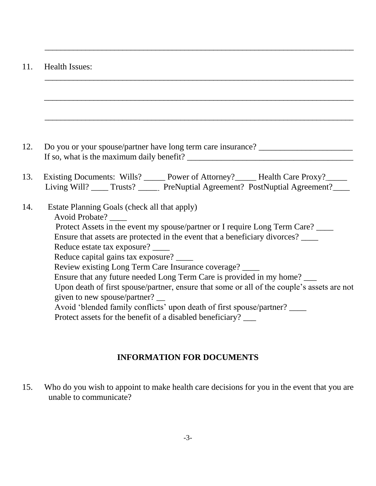#### 11. Health Issues:

| 12. | Do you or your spouse/partner have long term care insurance?                                                                                                                                                                                                                                                                                                                                                                                                                                                                                                                                                                                                                                                            |
|-----|-------------------------------------------------------------------------------------------------------------------------------------------------------------------------------------------------------------------------------------------------------------------------------------------------------------------------------------------------------------------------------------------------------------------------------------------------------------------------------------------------------------------------------------------------------------------------------------------------------------------------------------------------------------------------------------------------------------------------|
| 13. | Existing Documents: Wills? _____ Power of Attorney? _____ Health Care Proxy? _____<br>Living Will? _____ Trusts? _______ PreNuptial Agreement? PostNuptial Agreement? ____                                                                                                                                                                                                                                                                                                                                                                                                                                                                                                                                              |
|     | Estate Planning Goals (check all that apply)<br><b>Avoid Probate?</b><br>Protect Assets in the event my spouse/partner or I require Long Term Care?<br>Ensure that assets are protected in the event that a beneficiary divorces? ___<br>Reduce estate tax exposure? ___<br>Reduce capital gains tax exposure? ___<br>Review existing Long Term Care Insurance coverage?<br>Ensure that any future needed Long Term Care is provided in my home?<br>Upon death of first spouse/partner, ensure that some or all of the couple's assets are not<br>given to new spouse/partner?<br>Avoid 'blended family conflicts' upon death of first spouse/partner? ___<br>Protect assets for the benefit of a disabled beneficiary? |

\_\_\_\_\_\_\_\_\_\_\_\_\_\_\_\_\_\_\_\_\_\_\_\_\_\_\_\_\_\_\_\_\_\_\_\_\_\_\_\_\_\_\_\_\_\_\_\_\_\_\_\_\_\_\_\_\_\_\_\_\_\_\_\_\_\_\_\_\_\_\_\_\_\_\_

\_\_\_\_\_\_\_\_\_\_\_\_\_\_\_\_\_\_\_\_\_\_\_\_\_\_\_\_\_\_\_\_\_\_\_\_\_\_\_\_\_\_\_\_\_\_\_\_\_\_\_\_\_\_\_\_\_\_\_\_\_\_\_\_\_\_\_\_\_\_\_\_\_\_\_

### **INFORMATION FOR DOCUMENTS**

15. Who do you wish to appoint to make health care decisions for you in the event that you are unable to communicate?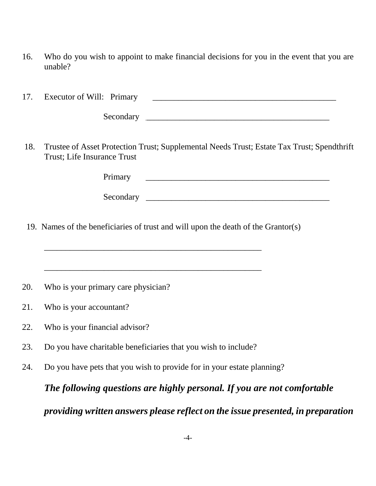16. Who do you wish to appoint to make financial decisions for you in the event that you are unable?

17. Executor of Will: Primary \_\_\_\_\_\_\_\_\_\_\_\_\_\_\_\_\_\_\_\_\_\_\_\_\_\_\_\_\_\_\_\_\_\_\_\_\_\_\_\_\_\_\_

Secondary \_\_\_\_\_\_\_\_\_\_\_\_\_\_\_\_\_\_\_\_\_\_\_\_\_\_\_\_\_\_\_\_\_\_\_\_\_\_\_\_\_\_\_

18. Trustee of Asset Protection Trust; Supplemental Needs Trust; Estate Tax Trust; Spendthrift Trust; Life Insurance Trust

| – |  |
|---|--|
|   |  |

Secondary \_\_\_\_\_\_\_\_\_\_\_\_\_\_\_\_\_\_\_\_\_\_\_\_\_\_\_\_\_\_\_\_\_\_\_\_\_\_\_\_\_\_\_

19. Names of the beneficiaries of trust and will upon the death of the Grantor(s)

\_\_\_\_\_\_\_\_\_\_\_\_\_\_\_\_\_\_\_\_\_\_\_\_\_\_\_\_\_\_\_\_\_\_\_\_\_\_\_\_\_\_\_\_\_\_\_\_\_\_\_

20. Who is your primary care physician?

- 21. Who is your accountant?
- 22. Who is your financial advisor?
- 23. Do you have charitable beneficiaries that you wish to include?
- 24. Do you have pets that you wish to provide for in your estate planning?

*The following questions are highly personal. If you are not comfortable* 

### *providing written answers please reflect on the issue presented, in preparation*